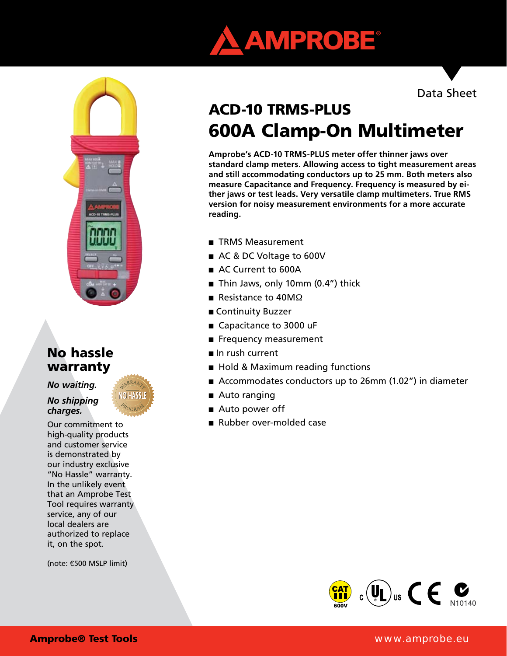



# No hassle warranty

*No waiting.* 

*No shipping charges.*



Our commitment to high-quality products and customer service is demonstrated by our industry exclusive "No Hassle" warranty. In the unlikely event that an Amprobe Test Tool requires warranty service, any of our local dealers are authorized to replace it, on the spot.

(note: €500 MSLP limit)

Data Sheet

# ACD-10 TRMS-PLUS 600A Clamp-On Multimeter

**Amprobe's ACD-10 TRMS-PLUS meter offer thinner jaws over standard clamp meters. Allowing access to tight measurement areas and still accommodating conductors up to 25 mm. Both meters also measure Capacitance and Frequency. Frequency is measured by either jaws or test leads. Very versatile clamp multimeters. True RMS version for noisy measurement environments for a more accurate reading.**

- TRMS Measurement
- AC & DC Voltage to 600V
- AC Current to 600A
- Thin Jaws, only 10mm (0.4") thick
- Resistance to  $40M\Omega$
- Continuity Buzzer
- Capacitance to 3000 uF
- Frequency measurement
- In rush current
- Hold & Maximum reading functions
- Accommodates conductors up to 26mm (1.02") in diameter
- Auto ranging
- Auto power off
- Rubber over-molded case



#### Amprobe® Test Tools www.amprobe.eu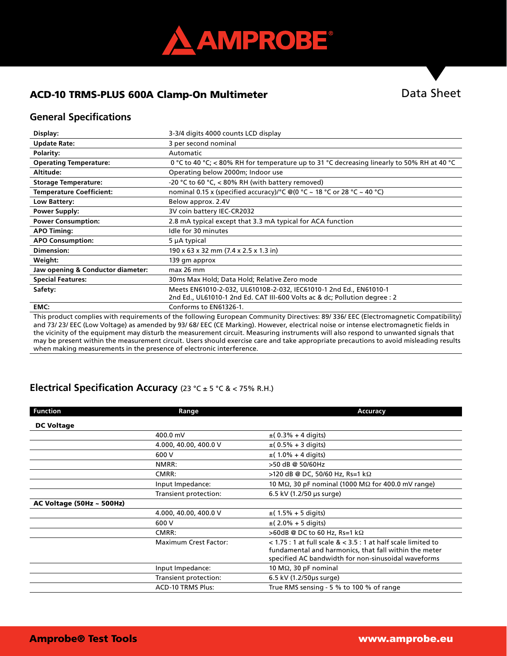

## ACD-10 TRMS-PLUS 600A Clamp-On Multimeter

# Data Sheet

#### **General Specifications**

| Display:                          | 3-3/4 digits 4000 counts LCD display                                                                                                             |  |  |
|-----------------------------------|--------------------------------------------------------------------------------------------------------------------------------------------------|--|--|
| <b>Update Rate:</b>               | 3 per second nominal                                                                                                                             |  |  |
| Polarity:                         | Automatic                                                                                                                                        |  |  |
| <b>Operating Temperature:</b>     | 0 °C to 40 °C; < 80% RH for temperature up to 31 °C decreasing linearly to 50% RH at 40 °C                                                       |  |  |
| Altitude:                         | Operating below 2000m; Indoor use                                                                                                                |  |  |
| <b>Storage Temperature:</b>       | -20 °C to 60 °C, $<$ 80% RH (with battery removed)                                                                                               |  |  |
| <b>Temperature Coefficient:</b>   | nominal 0.15 x (specified accuracy)/°C @(0 °C ~ 18 °C or 28 °C ~ 40 °C)                                                                          |  |  |
| Low Battery:                      | Below approx. 2.4V                                                                                                                               |  |  |
| <b>Power Supply:</b>              | 3V coin battery IEC-CR2032                                                                                                                       |  |  |
| <b>Power Consumption:</b>         | 2.8 mA typical except that 3.3 mA typical for ACA function                                                                                       |  |  |
| <b>APO Timing:</b>                | Idle for 30 minutes                                                                                                                              |  |  |
| <b>APO Consumption:</b>           | 5 µA typical                                                                                                                                     |  |  |
| Dimension:                        | 190 x 63 x 32 mm (7.4 x 2.5 x 1.3 in)                                                                                                            |  |  |
| Weight:                           | 139 gm approx                                                                                                                                    |  |  |
| Jaw opening & Conductor diameter: | $max$ 26 mm                                                                                                                                      |  |  |
| <b>Special Features:</b>          | 30ms Max Hold; Data Hold; Relative Zero mode                                                                                                     |  |  |
| Safety:                           | Meets EN61010-2-032, UL61010B-2-032, IEC61010-1 2nd Ed., EN61010-1<br>2nd Ed., UL61010-1 2nd Ed. CAT III-600 Volts ac & dc; Pollution degree : 2 |  |  |
| EMC:                              | Conforms to EN61326-1.                                                                                                                           |  |  |
|                                   | This product complies with requirements of the following European Community Directives: 89/336/EEC (Electromagnetic Compatibility)               |  |  |

uropean Community Directives: 89/ 336/ EEC (Electromagnetic and 73/ 23/ EEC (Low Voltage) as amended by 93/ 68/ EEC (CE Marking). However, electrical noise or intense electromagnetic fields in the vicinity of the equipment may disturb the measurement circuit. Measuring instruments will also respond to unwanted signals that may be present within the measurement circuit. Users should exercise care and take appropriate precautions to avoid misleading results when making measurements in the presence of electronic interference.

#### **Electrical Specification Accuracy** (23 °C ± 5 °C & < 75% R.H.)

| <b>Function</b>                | Range                        | Accuracy                                                                                                                                                                          |  |
|--------------------------------|------------------------------|-----------------------------------------------------------------------------------------------------------------------------------------------------------------------------------|--|
| <b>DC Voltage</b>              |                              |                                                                                                                                                                                   |  |
|                                | 400.0 mV                     | $\pm (0.3\% + 4 \text{ digits})$                                                                                                                                                  |  |
|                                | 4.000, 40.00, 400.0 V        | $\pm (0.5\% + 3 \text{ digits})$                                                                                                                                                  |  |
|                                | 600 V                        | $\pm$ (1.0% + 4 digits)                                                                                                                                                           |  |
|                                | NMRR:                        | >50 dB @ 50/60Hz                                                                                                                                                                  |  |
|                                | CMRR:                        | >120 dB @ DC, 50/60 Hz, Rs=1 kΩ                                                                                                                                                   |  |
|                                | Input Impedance:             | 10 M $\Omega$ , 30 pF nominal (1000 M $\Omega$ for 400.0 mV range)                                                                                                                |  |
|                                | Transient protection:        | 6.5 kV (1.2/50 µs surge)                                                                                                                                                          |  |
| AC Voltage (50Hz $\sim$ 500Hz) |                              |                                                                                                                                                                                   |  |
|                                | 4.000, 40.00, 400.0 V        | $\pm$ (1.5% + 5 digits)                                                                                                                                                           |  |
|                                | 600 V                        | $\pm$ (2.0% + 5 digits)                                                                                                                                                           |  |
|                                | CMRR:                        | $>60$ dB @ DC to 60 Hz, Rs=1 k $\Omega$                                                                                                                                           |  |
|                                | <b>Maximum Crest Factor:</b> | $<$ 1.75 : 1 at full scale & $<$ 3.5 : 1 at half scale limited to<br>fundamental and harmonics, that fall within the meter<br>specified AC bandwidth for non-sinusoidal waveforms |  |
|                                | Input Impedance:             | 10 M $\Omega$ , 30 pF nominal                                                                                                                                                     |  |
|                                | Transient protection:        | 6.5 kV (1.2/50us surge)                                                                                                                                                           |  |
|                                | <b>ACD-10 TRMS Plus:</b>     | True RMS sensing - 5 % to 100 % of range                                                                                                                                          |  |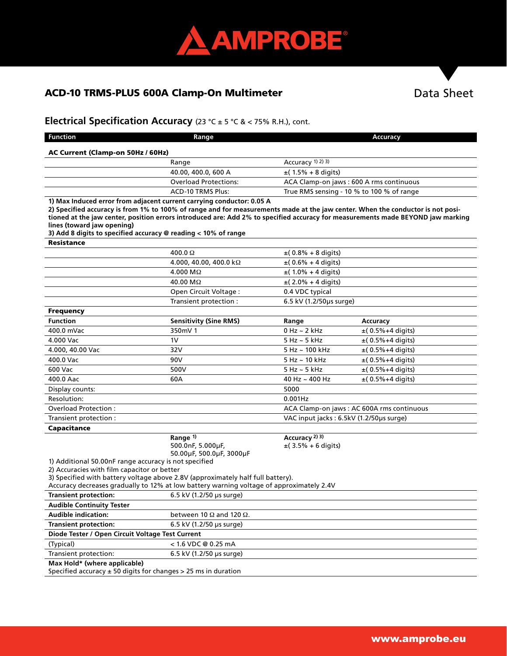

# ACD-10 TRMS-PLUS 600A Clamp-On Multimeter

# Data Sheet

# **Electrical Specification Accuracy** (23 °C ± 5 °C & < 75% R.H.), cont.

| <b>Function</b>                                                                                                                                                                                                                                                                                                                                                                                                                            | Range                                                     |                                                                 | <b>Accuracy</b>                  |  |  |  |
|--------------------------------------------------------------------------------------------------------------------------------------------------------------------------------------------------------------------------------------------------------------------------------------------------------------------------------------------------------------------------------------------------------------------------------------------|-----------------------------------------------------------|-----------------------------------------------------------------|----------------------------------|--|--|--|
| AC Current (Clamp-on 50Hz / 60Hz)                                                                                                                                                                                                                                                                                                                                                                                                          |                                                           |                                                                 |                                  |  |  |  |
|                                                                                                                                                                                                                                                                                                                                                                                                                                            | Range                                                     | Accuracy 1) 2) 3)                                               |                                  |  |  |  |
|                                                                                                                                                                                                                                                                                                                                                                                                                                            | 40.00, 400.0, 600 A                                       | $\pm$ (1.5% + 8 digits)                                         |                                  |  |  |  |
|                                                                                                                                                                                                                                                                                                                                                                                                                                            | <b>Overload Protections:</b>                              | ACA Clamp-on jaws: 600 A rms continuous                         |                                  |  |  |  |
|                                                                                                                                                                                                                                                                                                                                                                                                                                            | <b>ACD-10 TRMS Plus:</b>                                  | True RMS sensing - 10 % to 100 % of range                       |                                  |  |  |  |
| 1) Max Induced error from adjacent current carrying conductor: 0.05 A<br>2) Specified accuracy is from 1% to 100% of range and for measurements made at the jaw center. When the conductor is not posi-<br>tioned at the jaw center, position errors introduced are: Add 2% to specified accuracy for measurements made BEYOND jaw marking<br>lines (toward jaw opening)<br>3) Add 8 digits to specified accuracy @ reading < 10% of range |                                                           |                                                                 |                                  |  |  |  |
| <b>Resistance</b>                                                                                                                                                                                                                                                                                                                                                                                                                          |                                                           |                                                                 |                                  |  |  |  |
|                                                                                                                                                                                                                                                                                                                                                                                                                                            | $400.0 \Omega$                                            | $\pm (0.8\% + 8 \text{ digits})$                                |                                  |  |  |  |
|                                                                                                                                                                                                                                                                                                                                                                                                                                            | 4.000, 40.00, 400.0 k $\Omega$                            | $\pm (0.6\% + 4 \text{ digits})$                                |                                  |  |  |  |
|                                                                                                                                                                                                                                                                                                                                                                                                                                            | $4.000 \text{ M}\Omega$                                   | $\pm$ (1.0% + 4 digits)                                         |                                  |  |  |  |
|                                                                                                                                                                                                                                                                                                                                                                                                                                            | 40.00 MΩ                                                  | $\pm$ (2.0% + 4 digits)                                         |                                  |  |  |  |
|                                                                                                                                                                                                                                                                                                                                                                                                                                            | Open Circuit Voltage:                                     | 0.4 VDC typical                                                 |                                  |  |  |  |
|                                                                                                                                                                                                                                                                                                                                                                                                                                            | Transient protection :                                    | 6.5 kV (1.2/50µs surge)                                         |                                  |  |  |  |
| <b>Frequency</b>                                                                                                                                                                                                                                                                                                                                                                                                                           |                                                           |                                                                 |                                  |  |  |  |
| <b>Function</b>                                                                                                                                                                                                                                                                                                                                                                                                                            | <b>Sensitivity (Sine RMS)</b>                             | Range                                                           | Accuracy                         |  |  |  |
| 400.0 mVac                                                                                                                                                                                                                                                                                                                                                                                                                                 | 350mV 1                                                   | $0$ Hz $\sim$ 2 kHz                                             | $\pm (0.5\% + 4 \text{ digits})$ |  |  |  |
| 4.000 Vac                                                                                                                                                                                                                                                                                                                                                                                                                                  | 1V                                                        | $5$ Hz $\sim$ 5 kHz                                             | $±(0.5%+4$ digits)               |  |  |  |
| 4.000, 40.00 Vac                                                                                                                                                                                                                                                                                                                                                                                                                           | 32V                                                       | $5$ Hz $\sim$ 100 kHz                                           | $±(0.5%+4$ digits)               |  |  |  |
| 400.0 Vac                                                                                                                                                                                                                                                                                                                                                                                                                                  | 90V                                                       | $5$ Hz $\sim$ 10 kHz                                            | $\pm$ (0.5%+4 digits)            |  |  |  |
| 600 Vac                                                                                                                                                                                                                                                                                                                                                                                                                                    | 500V                                                      | $5$ Hz $\sim$ 5 kHz                                             | $\pm$ (0.5%+4 digits)            |  |  |  |
| 400.0 Aac                                                                                                                                                                                                                                                                                                                                                                                                                                  | 60A                                                       | 40 Hz $\sim$ 400 Hz                                             | $±$ (0.5% + 4 digits)            |  |  |  |
| Display counts:                                                                                                                                                                                                                                                                                                                                                                                                                            |                                                           | 5000                                                            |                                  |  |  |  |
| Resolution:                                                                                                                                                                                                                                                                                                                                                                                                                                |                                                           | $0.001$ Hz                                                      |                                  |  |  |  |
| Overload Protection:                                                                                                                                                                                                                                                                                                                                                                                                                       |                                                           | ACA Clamp-on jaws : AC 600A rms continuous                      |                                  |  |  |  |
| Transient protection:                                                                                                                                                                                                                                                                                                                                                                                                                      |                                                           | VAC input jacks: 6.5kV (1.2/50us surge)                         |                                  |  |  |  |
| Capacitance                                                                                                                                                                                                                                                                                                                                                                                                                                |                                                           |                                                                 |                                  |  |  |  |
|                                                                                                                                                                                                                                                                                                                                                                                                                                            | Range 1)<br>500.0nF, 5.000µF,<br>50.00µF, 500.0µF, 3000µF | Accuracy <sup>2)</sup> <sup>3)</sup><br>$\pm$ (3.5% + 6 digits) |                                  |  |  |  |
| 1) Additional 50.00nF range accuracy is not specified<br>2) Accuracies with film capacitor or better<br>3) Specified with battery voltage above 2.8V (approximately half full battery).<br>Accuracy decreases gradually to 12% at low battery warning voltage of approximately 2.4V                                                                                                                                                        |                                                           |                                                                 |                                  |  |  |  |
| <b>Transient protection:</b>                                                                                                                                                                                                                                                                                                                                                                                                               | 6.5 kV (1.2/50 µs surge)                                  |                                                                 |                                  |  |  |  |
| <b>Audible Continuity Tester</b>                                                                                                                                                                                                                                                                                                                                                                                                           |                                                           |                                                                 |                                  |  |  |  |
| <b>Audible indication:</b>                                                                                                                                                                                                                                                                                                                                                                                                                 | between 10 $\Omega$ and 120 $\Omega$ .                    |                                                                 |                                  |  |  |  |
| <b>Transient protection:</b>                                                                                                                                                                                                                                                                                                                                                                                                               | 6.5 kV (1.2/50 µs surge)                                  |                                                                 |                                  |  |  |  |
| Diode Tester / Open Circuit Voltage Test Current                                                                                                                                                                                                                                                                                                                                                                                           |                                                           |                                                                 |                                  |  |  |  |
| (Typical)                                                                                                                                                                                                                                                                                                                                                                                                                                  | < 1.6 VDC @ 0.25 mA                                       |                                                                 |                                  |  |  |  |
| Transient protection:                                                                                                                                                                                                                                                                                                                                                                                                                      | 6.5 kV (1.2/50 µs surge)                                  |                                                                 |                                  |  |  |  |
| Max Hold* (where applicable)<br>Specified accuracy $\pm$ 50 digits for changes $>$ 25 ms in duration                                                                                                                                                                                                                                                                                                                                       |                                                           |                                                                 |                                  |  |  |  |